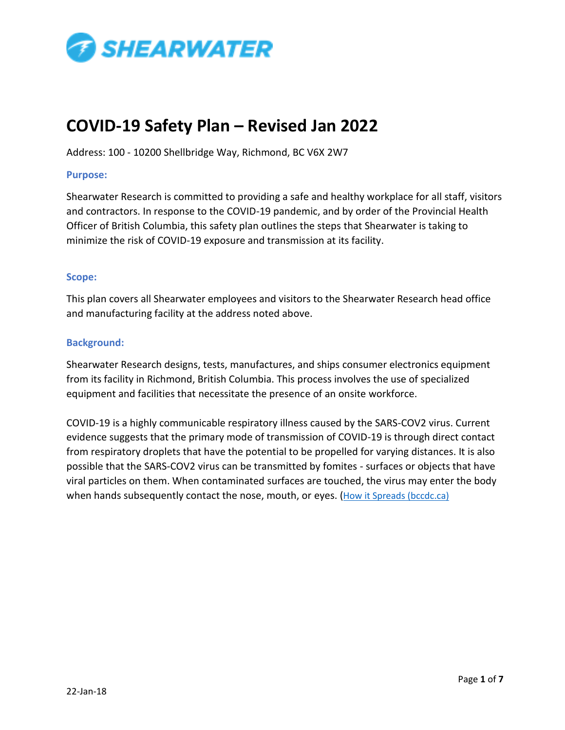

# **COVID-19 Safety Plan – Revised Jan 2022**

Address: 100 - 10200 Shellbridge Way, Richmond, BC V6X 2W7

# **Purpose:**

Shearwater Research is committed to providing a safe and healthy workplace for all staff, visitors and contractors. In response to the COVID-19 pandemic, and by order of the Provincial Health Officer of British Columbia, this safety plan outlines the steps that Shearwater is taking to minimize the risk of COVID-19 exposure and transmission at its facility.

# **Scope:**

This plan covers all Shearwater employees and visitors to the Shearwater Research head office and manufacturing facility at the address noted above.

# **Background:**

Shearwater Research designs, tests, manufactures, and ships consumer electronics equipment from its facility in Richmond, British Columbia. This process involves the use of specialized equipment and facilities that necessitate the presence of an onsite workforce.

COVID-19 is a highly communicable respiratory illness caused by the SARS-COV2 virus. Current evidence suggests that the primary mode of transmission of COVID-19 is through direct contact from respiratory droplets that have the potential to be propelled for varying distances. It is also possible that the SARS-COV2 virus can be transmitted by fomites - surfaces or objects that have viral particles on them. When contaminated surfaces are touched, the virus may enter the body when hands subsequently contact the nose, mouth, or eyes. ([How it Spreads \(bccdc.ca\)](http://www.bccdc.ca/health-info/diseases-conditions/covid-19/about-covid-19/how-it-spreads)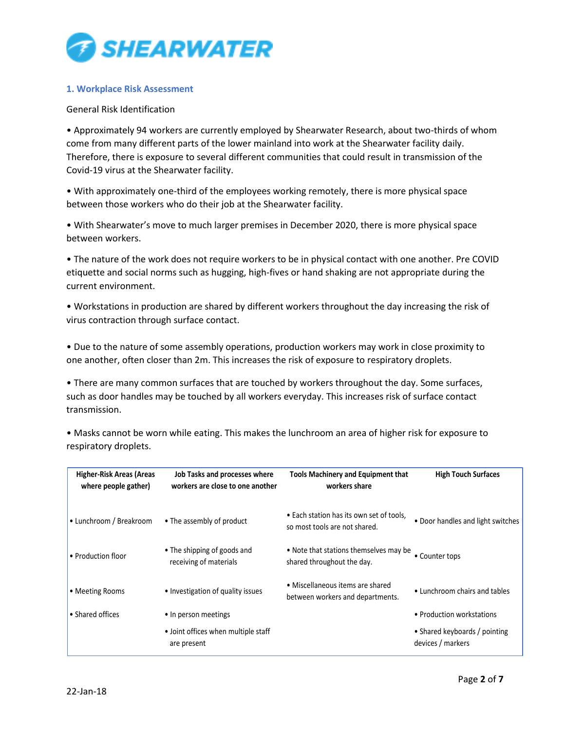

# **1. Workplace Risk Assessment**

## General Risk Identification

• Approximately 94 workers are currently employed by Shearwater Research, about two-thirds of whom come from many different parts of the lower mainland into work at the Shearwater facility daily. Therefore, there is exposure to several different communities that could result in transmission of the Covid-19 virus at the Shearwater facility.

• With approximately one-third of the employees working remotely, there is more physical space between those workers who do their job at the Shearwater facility.

• With Shearwater's move to much larger premises in December 2020, there is more physical space between workers.

• The nature of the work does not require workers to be in physical contact with one another. Pre COVID etiquette and social norms such as hugging, high-fives or hand shaking are not appropriate during the current environment.

• Workstations in production are shared by different workers throughout the day increasing the risk of virus contraction through surface contact.

• Due to the nature of some assembly operations, production workers may work in close proximity to one another, often closer than 2m. This increases the risk of exposure to respiratory droplets.

• There are many common surfaces that are touched by workers throughout the day. Some surfaces, such as door handles may be touched by all workers everyday. This increases risk of surface contact transmission.

• Masks cannot be worn while eating. This makes the lunchroom an area of higher risk for exposure to respiratory droplets.

| <b>Higher-Risk Areas (Areas</b><br>where people gather) | Job Tasks and processes where<br>workers are close to one another | <b>Tools Machinery and Equipment that</b><br>workers share                | <b>High Touch Surfaces</b>                         |
|---------------------------------------------------------|-------------------------------------------------------------------|---------------------------------------------------------------------------|----------------------------------------------------|
| • Lunchroom / Breakroom                                 | • The assembly of product                                         | • Each station has its own set of tools,<br>so most tools are not shared. | • Door handles and light switches                  |
| • Production floor                                      | • The shipping of goods and<br>receiving of materials             | • Note that stations themselves may be<br>shared throughout the day.      | • Counter tops                                     |
| • Meeting Rooms                                         | • Investigation of quality issues                                 | • Miscellaneous items are shared<br>between workers and departments.      | • Lunchroom chairs and tables                      |
| • Shared offices                                        | • In person meetings                                              |                                                                           | • Production workstations                          |
|                                                         | • Joint offices when multiple staff<br>are present                |                                                                           | • Shared keyboards / pointing<br>devices / markers |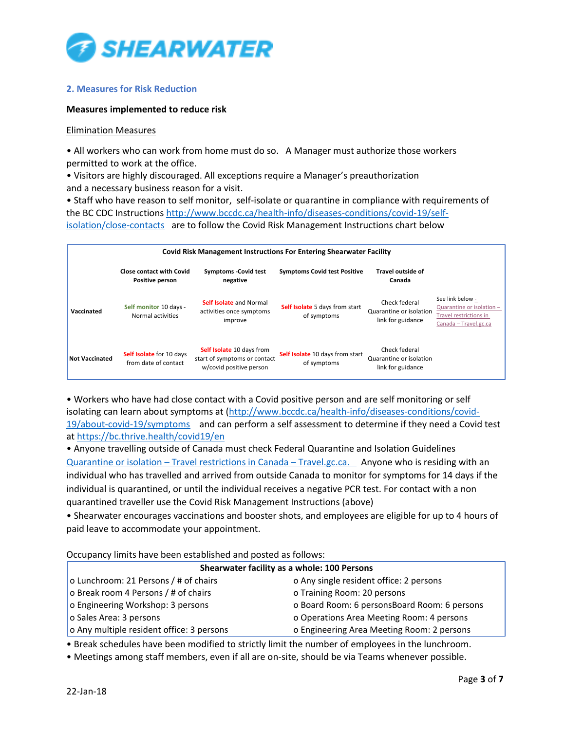

# **2. Measures for Risk Reduction**

#### **Measures implemented to reduce risk**

#### Elimination Measures

• All workers who can work from home must do so. A Manager must authorize those workers permitted to work at the office.

• Visitors are highly discouraged. All exceptions require a Manager's preauthorization and a necessary business reason for a visit.

• Staff who have reason to self monitor, self-isolate or quarantine in compliance with requirements of the BC CDC Instructions [http://www.bccdc.ca/health-info/diseases-conditions/covid-19/self](http://www.bccdc.ca/health-info/diseases-conditions/covid-19/self-isolation/close-contacts)[isolation/close-contacts](http://www.bccdc.ca/health-info/diseases-conditions/covid-19/self-isolation/close-contacts) are to follow the Covid Risk Management Instructions chart below

| <b>Covid Risk Management Instructions For Entering Shearwater Facility</b> |                                                         |                                                                                      |                                                |                                                               |                                                                                                  |
|----------------------------------------------------------------------------|---------------------------------------------------------|--------------------------------------------------------------------------------------|------------------------------------------------|---------------------------------------------------------------|--------------------------------------------------------------------------------------------------|
|                                                                            | <b>Close contact with Covid</b><br>Positive person      | <b>Symptoms -Covid test</b><br>negative                                              | <b>Symptoms Covid test Positive</b>            | Travel outside of<br>Canada                                   |                                                                                                  |
| Vaccinated                                                                 | Self monitor 10 days -<br>Normal activities             | <b>Self Isolate and Normal</b><br>activities once symptoms<br>improve                | Self Isolate 5 days from start<br>of symptoms  | Check federal<br>Quarantine or isolation<br>link for guidance | See link below -<br>Quarantine or isolation -<br>Travel restrictions in<br>Canada - Travel.gc.ca |
| <b>Not Vaccinated</b>                                                      | <b>Self Isolate</b> for 10 days<br>from date of contact | Self Isolate 10 days from<br>start of symptoms or contact<br>w/covid positive person | Self Isolate 10 days from start<br>of symptoms | Check federal<br>Quarantine or isolation<br>link for guidance |                                                                                                  |

• Workers who have had close contact with a Covid positive person and are self monitoring or self isolating can learn about symptoms at [\(http://www.bccdc.ca/health-info/diseases-conditions/covid-](http://www.bccdc.ca/health-info/diseases-conditions/covid-19/about-covid-19/symptoms)[19/about-covid-19/symptoms](http://www.bccdc.ca/health-info/diseases-conditions/covid-19/about-covid-19/symptoms) and can perform a self assessment to determine if they need a Covid test a[t https://bc.thrive.health/covid19/en](https://bc.thrive.health/covid19/en) 

• Anyone travelling outside of Canada must check Federal Quarantine and Isolation Guidelines Quarantine or isolation – [Travel restrictions in Canada](https://travel.gc.ca/travel-covid/travel-restrictions/isolation) – Travel.gc.ca. Anyone who is residing with an individual who has travelled and arrived from outside Canada to monitor for symptoms for 14 days if the individual is quarantined, or until the individual receives a negative PCR test. For contact with a non quarantined traveller use the Covid Risk Management Instructions (above)

• Shearwater encourages vaccinations and booster shots, and employees are eligible for up to 4 hours of paid leave to accommodate your appointment.

Occupancy limits have been established and posted as follows:

| Shearwater facility as a whole: 100 Persons |                                              |  |  |  |
|---------------------------------------------|----------------------------------------------|--|--|--|
| o Lunchroom: 21 Persons / # of chairs       | o Any single resident office: 2 persons      |  |  |  |
| o Break room 4 Persons / # of chairs        | o Training Room: 20 persons                  |  |  |  |
| o Engineering Workshop: 3 persons           | o Board Room: 6 personsBoard Room: 6 persons |  |  |  |
| o Sales Area: 3 persons                     | o Operations Area Meeting Room: 4 persons    |  |  |  |
| o Any multiple resident office: 3 persons   | o Engineering Area Meeting Room: 2 persons   |  |  |  |

• Break schedules have been modified to strictly limit the number of employees in the lunchroom.

• Meetings among staff members, even if all are on-site, should be via Teams whenever possible.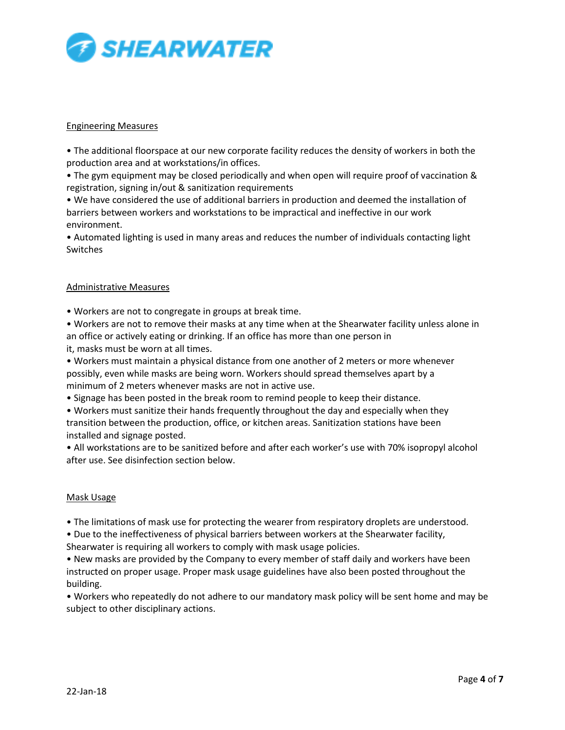

## Engineering Measures

• The additional floorspace at our new corporate facility reduces the density of workers in both the production area and at workstations/in offices.

• The gym equipment may be closed periodically and when open will require proof of vaccination & registration, signing in/out & sanitization requirements

• We have considered the use of additional barriers in production and deemed the installation of barriers between workers and workstations to be impractical and ineffective in our work environment.

• Automated lighting is used in many areas and reduces the number of individuals contacting light Switches

## Administrative Measures

• Workers are not to congregate in groups at break time.

• Workers are not to remove their masks at any time when at the Shearwater facility unless alone in an office or actively eating or drinking. If an office has more than one person in it, masks must be worn at all times.

• Workers must maintain a physical distance from one another of 2 meters or more whenever possibly, even while masks are being worn. Workers should spread themselves apart by a minimum of 2 meters whenever masks are not in active use.

• Signage has been posted in the break room to remind people to keep their distance.

• Workers must sanitize their hands frequently throughout the day and especially when they transition between the production, office, or kitchen areas. Sanitization stations have been installed and signage posted.

• All workstations are to be sanitized before and after each worker's use with 70% isopropyl alcohol after use. See disinfection section below.

#### Mask Usage

• The limitations of mask use for protecting the wearer from respiratory droplets are understood.

• Due to the ineffectiveness of physical barriers between workers at the Shearwater facility,

Shearwater is requiring all workers to comply with mask usage policies.

• New masks are provided by the Company to every member of staff daily and workers have been instructed on proper usage. Proper mask usage guidelines have also been posted throughout the building.

• Workers who repeatedly do not adhere to our mandatory mask policy will be sent home and may be subject to other disciplinary actions.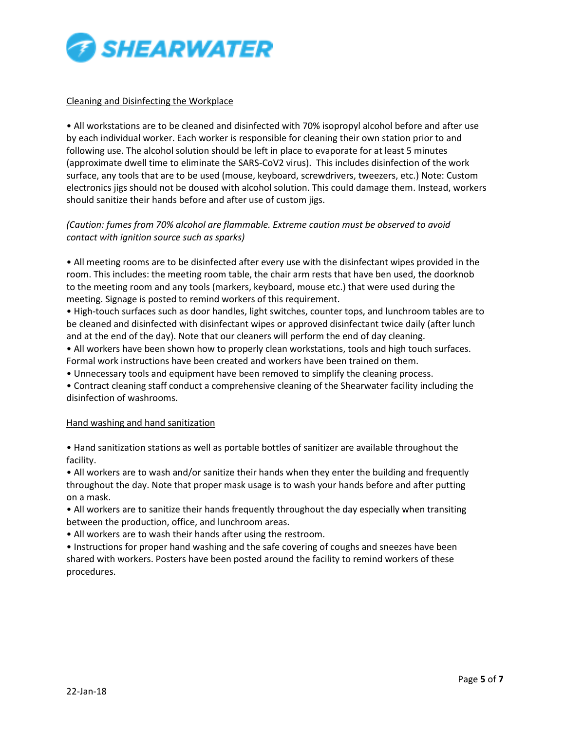

## Cleaning and Disinfecting the Workplace

• All workstations are to be cleaned and disinfected with 70% isopropyl alcohol before and after use by each individual worker. Each worker is responsible for cleaning their own station prior to and following use. The alcohol solution should be left in place to evaporate for at least 5 minutes (approximate dwell time to eliminate the SARS-CoV2 virus). This includes disinfection of the work surface, any tools that are to be used (mouse, keyboard, screwdrivers, tweezers, etc.) Note: Custom electronics jigs should not be doused with alcohol solution. This could damage them. Instead, workers should sanitize their hands before and after use of custom jigs.

# *(Caution: fumes from 70% alcohol are flammable. Extreme caution must be observed to avoid contact with ignition source such as sparks)*

• All meeting rooms are to be disinfected after every use with the disinfectant wipes provided in the room. This includes: the meeting room table, the chair arm rests that have ben used, the doorknob to the meeting room and any tools (markers, keyboard, mouse etc.) that were used during the meeting. Signage is posted to remind workers of this requirement.

• High-touch surfaces such as door handles, light switches, counter tops, and lunchroom tables are to be cleaned and disinfected with disinfectant wipes or approved disinfectant twice daily (after lunch and at the end of the day). Note that our cleaners will perform the end of day cleaning.

• All workers have been shown how to properly clean workstations, tools and high touch surfaces. Formal work instructions have been created and workers have been trained on them.

• Unnecessary tools and equipment have been removed to simplify the cleaning process.

• Contract cleaning staff conduct a comprehensive cleaning of the Shearwater facility including the disinfection of washrooms.

#### Hand washing and hand sanitization

• Hand sanitization stations as well as portable bottles of sanitizer are available throughout the facility.

• All workers are to wash and/or sanitize their hands when they enter the building and frequently throughout the day. Note that proper mask usage is to wash your hands before and after putting on a mask.

• All workers are to sanitize their hands frequently throughout the day especially when transiting between the production, office, and lunchroom areas.

• All workers are to wash their hands after using the restroom.

• Instructions for proper hand washing and the safe covering of coughs and sneezes have been shared with workers. Posters have been posted around the facility to remind workers of these procedures.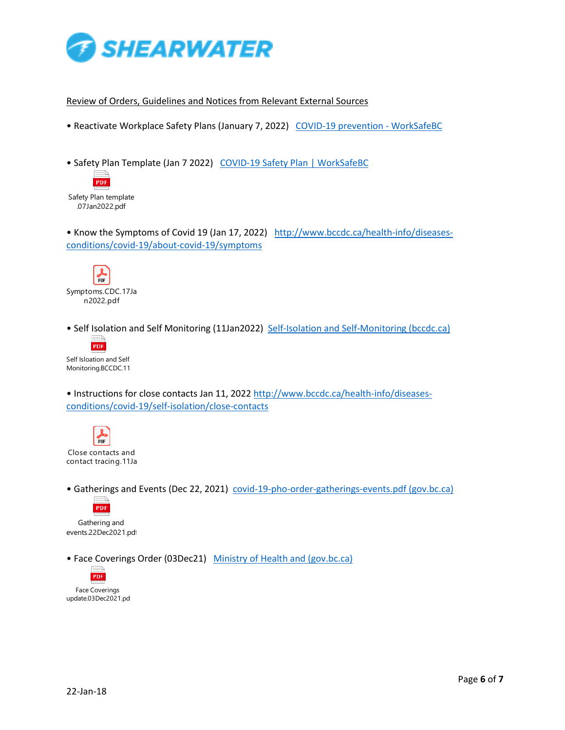

## Review of Orders, Guidelines and Notices from Relevant External Sources

• Reactivate Workplace Safety Plans (January 7, 2022) [COVID-19 prevention -](https://www.worksafebc.com/en/covid-19/covid-19-prevention) WorkSafeBC

• Safety Plan Template (Jan 7 2022) [COVID-19 Safety Plan | WorkSafeBC](https://www.worksafebc.com/en/resources/health-safety/checklist/covid-19-safety-plan-0821?lang=en)



• Know the Symptoms of Covid 19 (Jan 17, 2022) [http://www.bccdc.ca/health-info/diseases](http://www.bccdc.ca/health-info/diseases-conditions/covid-19/about-covid-19/symptoms)[conditions/covid-19/about-covid-19/symptoms](http://www.bccdc.ca/health-info/diseases-conditions/covid-19/about-covid-19/symptoms)



• Self Isolation and Self Monitoring (11Jan2022) [Self-Isolation and Self-Monitoring \(bccdc.ca\)](http://www.bccdc.ca/health-info/diseases-conditions/covid-19/self-isolation)



• Instructions for close contacts Jan 11, 2022 [http://www.bccdc.ca/health-info/diseases](http://www.bccdc.ca/health-info/diseases-conditions/covid-19/self-isolation/close-contacts)[conditions/covid-19/self-isolation/close-contacts](http://www.bccdc.ca/health-info/diseases-conditions/covid-19/self-isolation/close-contacts)



• Gatherings and Events (Dec 22, 2021) [covid-19-pho-order-gatherings-events.pdf \(gov.bc.ca\)](https://www2.gov.bc.ca/assets/gov/health/about-bc-s-health-care-system/office-of-the-provincial-health-officer/covid-19/covid-19-pho-order-gatherings-events.pdf)



Gathering and events.22Dec2021.pdf

• Face Coverings Order (03Dec21) [Ministry of Health and \(gov.bc.ca\)](https://www2.gov.bc.ca/assets/gov/health/about-bc-s-health-care-system/office-of-the-provincial-health-officer/covid-19/covid-19-pho-order-face-coverings.pdf)